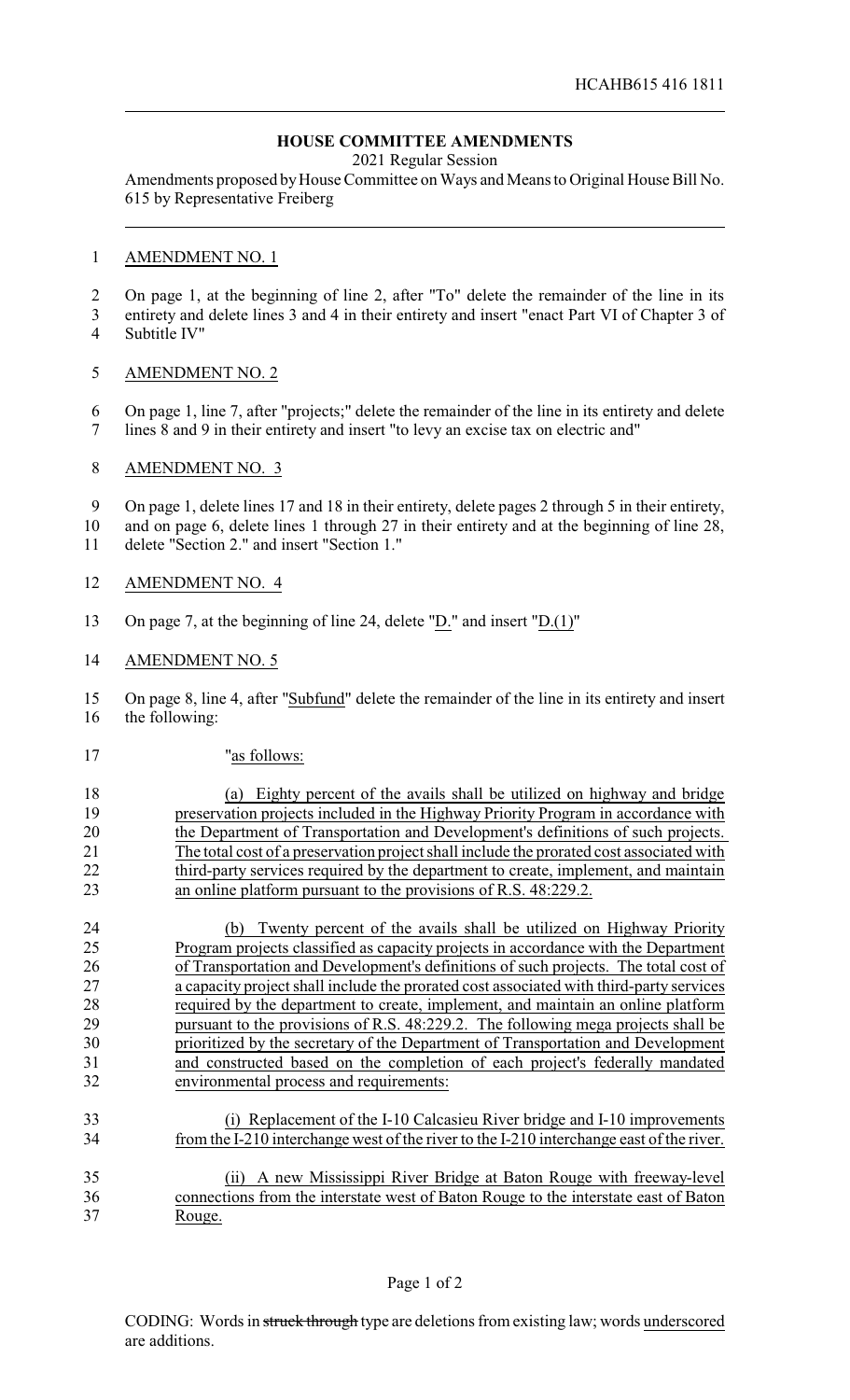# **HOUSE COMMITTEE AMENDMENTS**

2021 Regular Session

Amendments proposed by House Committee on Ways and Means to Original House Bill No. 615 by Representative Freiberg

#### AMENDMENT NO. 1

On page 1, at the beginning of line 2, after "To" delete the remainder of the line in its

 entirety and delete lines 3 and 4 in their entirety and insert "enact Part VI of Chapter 3 of Subtitle IV"

### AMENDMENT NO. 2

 On page 1, line 7, after "projects;" delete the remainder of the line in its entirety and delete lines 8 and 9 in their entirety and insert "to levy an excise tax on electric and"

## AMENDMENT NO. 3

 On page 1, delete lines 17 and 18 in their entirety, delete pages 2 through 5 in their entirety, and on page 6, delete lines 1 through 27 in their entirety and at the beginning of line 28,

delete "Section 2." and insert "Section 1."

- AMENDMENT NO. 4
- On page 7, at the beginning of line 24, delete "D." and insert "D.(1)"

#### AMENDMENT NO. 5

 On page 8, line 4, after "Subfund" delete the remainder of the line in its entirety and insert the following:

"as follows:

 (a) Eighty percent of the avails shall be utilized on highway and bridge preservation projects included in the Highway Priority Program in accordance with the Department of Transportation and Development's definitions of such projects. The total cost of a preservation project shall include the prorated cost associated with 22 third-party services required by the department to create, implement, and maintain an online platform pursuant to the provisions of R.S. 48:229.2.

 (b) Twenty percent of the avails shall be utilized on Highway Priority Program projects classified as capacity projects in accordance with the Department of Transportation and Development's definitions of such projects. The total cost of a capacity project shall include the prorated cost associated with third-party services required by the department to create, implement, and maintain an online platform pursuant to the provisions of R.S. 48:229.2. The following mega projects shall be prioritized by the secretary of the Department of Transportation and Development and constructed based on the completion of each project's federally mandated environmental process and requirements:

- (i) Replacement of the I-10 Calcasieu River bridge and I-10 improvements from the I-210 interchange west of the river to the I-210 interchange east of the river.
- (ii) A new Mississippi River Bridge at Baton Rouge with freeway-level connections from the interstate west of Baton Rouge to the interstate east of Baton Rouge.